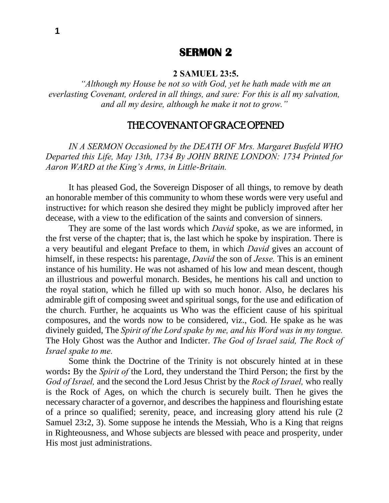# **SERMON 2**

#### **2 SAMUEL 23:5.**

*"Although my House be not so with God, yet he hath made with me an everlasting Covenant, ordered in all things, and sure: For this is all my salvation, and all my desire, although he make it not to grow."*

# THE COVENANT OF GRACE OPENED

*IN A SERMON Occasioned by the DEATH OF Mrs. Margaret Busfeld WHO Departed this Life, May 13th, 1734 By JOHN BRINE LONDON: 1734 Printed for Aaron WARD at the King's Arms, in Little-Britain.*

It has pleased God, the Sovereign Disposer of all things, to remove by death an honorable member of this community to whom these words were very useful and instructive**:** for which reason she desired they might be publicly improved after her decease, with a view to the edification of the saints and conversion of sinners.

They are some of the last words which *David* spoke, as we are informed, in the frst verse of the chapter; that is, the last which he spoke by inspiration. There is a very beautiful and elegant Preface to them, in which *David* gives an account of himself, in these respects**:** his parentage, *David* the son of *Jesse.* This is an eminent instance of his humility. He was not ashamed of his low and mean descent, though an illustrious and powerful monarch. Besides, he mentions his call and unction to the royal station, which he filled up with so much honor. Also, he declares his admirable gift of composing sweet and spiritual songs, for the use and edification of the church. Further, he acquaints us Who was the efficient cause of his spiritual composures, and the words now to be considered, viz., God. He spake as he was divinely guided, The *Spirit of the Lord spake by me, and his Word was in my tongue.*  The Holy Ghost was the Author and Indicter. *The God of Israel said, The Rock of Israel spake to me.*

Some think the Doctrine of the Trinity is not obscurely hinted at in these words**:** By the *Spirit of* the Lord, they understand the Third Person; the first by the *God of Israel,* and the second the Lord Jesus Christ by the *Rock of Israel,* who really is the Rock of Ages, on which the church is securely built. Then he gives the necessary character of a governor, and describes the happiness and flourishing estate of a prince so qualified; serenity, peace, and increasing glory attend his rule (2 Samuel 23**:**2, 3). Some suppose he intends the Messiah, Who is a King that reigns in Righteousness, and Whose subjects are blessed with peace and prosperity, under His most just administrations.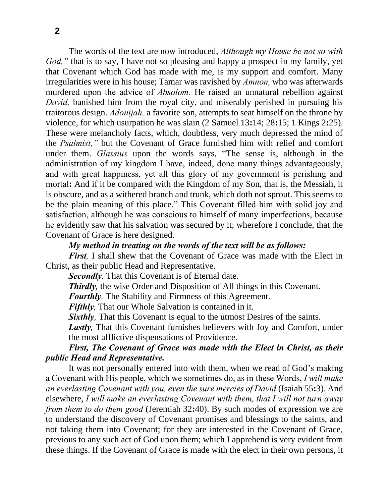The words of the text are now introduced, *Although my House be not so with God,*" that is to say, I have not so pleasing and happy a prospect in my family, yet that Covenant which God has made with me, is my support and comfort. Many irregularities were in his house; Tamar was ravished by *Amnon,* who was afterwards murdered upon the advice of *Absolom.* He raised an unnatural rebellion against *David*, banished him from the royal city, and miserably perished in pursuing his traitorous design. *Adonijah,* a favorite son, attempts to seat himself on the throne by violence, for which usurpation he was slain (2 Samuel 13**:**14; 28**:**15; 1 Kings 2**:**25). These were melancholy facts, which, doubtless, very much depressed the mind of the *Psalmist,"* but the Covenant of Grace furnished him with relief and comfort under them. *Glassius* upon the words says, "The sense is, although in the administration of my kingdom I have, indeed, done many things advantageously, and with great happiness, yet all this glory of my government is perishing and mortal**:** And if it be compared with the Kingdom of my Son, that is, the Messiah, it is obscure, and as a withered branch and trunk, which doth not sprout. This seems to be the plain meaning of this place." This Covenant filled him with solid joy and satisfaction, although he was conscious to himself of many imperfections, because he evidently saw that his salvation was secured by it; wherefore I conclude, that the Covenant of Grace is here designed.

#### *My method in treating on the words of the text will be as follows:*

*First*, I shall shew that the Covenant of Grace was made with the Elect in Christ, as their public Head and Representative.

*Secondly,* That this Covenant is of Eternal date.

**Thirdly**, the wise Order and Disposition of All things in this Covenant.

*Fourthly,* The Stability and Firmness of this Agreement.

*Fifthly,* That our Whole Salvation is contained in it.

*Sixthly*, That this Covenant is equal to the utmost Desires of the saints.

Lastly, That this Covenant furnishes believers with Joy and Comfort, under the most afflictive dispensations of Providence.

### *First, The Covenant of Grace was made with the Elect in Christ, as their public Head and Representative.*

It was not personally entered into with them, when we read of God's making a Covenant with His people, which we sometimes do, as in these Words, *I will make an everlasting Covenant with you, even the sure mercies of David* (Isaiah 55**:**3). And elsewhere, *I will make an everlasting Covenant with them, that I will not turn away from them to do them good* (Jeremiah 32**:**40). By such modes of expression we are to understand the discovery of Covenant promises and blessings to the saints, and not taking them into Covenant; for they are interested in the Covenant of Grace, previous to any such act of God upon them; which I apprehend is very evident from these things. If the Covenant of Grace is made with the elect in their own persons, it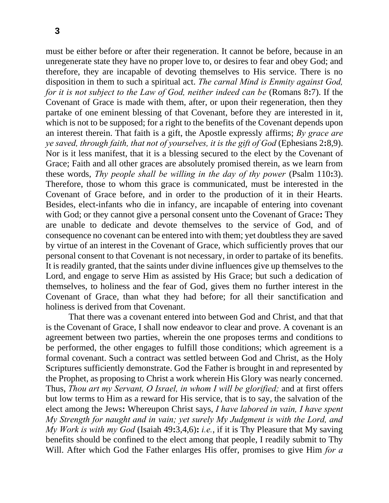must be either before or after their regeneration. It cannot be before, because in an unregenerate state they have no proper love to, or desires to fear and obey God; and therefore, they are incapable of devoting themselves to His service. There is no disposition in them to such a spiritual act. *The carnal Mind is Enmity against God, for it is not subject to the Law of God, neither indeed can be (Romans 8:7).* If the Covenant of Grace is made with them, after, or upon their regeneration, then they partake of one eminent blessing of that Covenant, before they are interested in it, which is not to be supposed; for a right to the benefits of the Covenant depends upon an interest therein. That faith is a gift, the Apostle expressly affirms; *By grace are ye saved, through faith, that not of yourselves, it is the gift of God* (Ephesians 2**:**8,9). Nor is it less manifest, that it is a blessing secured to the elect by the Covenant of Grace; Faith and all other graces are absolutely promised therein, as we learn from these words, *Thy people shall be willing in the day of thy power* (Psalm 110**:**3). Therefore, those to whom this grace is communicated, must be interested in the Covenant of Grace before, and in order to the production of it in their Hearts. Besides, elect-infants who die in infancy, are incapable of entering into covenant with God; or they cannot give a personal consent unto the Covenant of Grace**:** They are unable to dedicate and devote themselves to the service of God, and of consequence no covenant can be entered into with them; yet doubtless they are saved by virtue of an interest in the Covenant of Grace, which sufficiently proves that our personal consent to that Covenant is not necessary, in order to partake of its benefits. It is readily granted, that the saints under divine influences give up themselves to the Lord, and engage to serve Him as assisted by His Grace; but such a dedication of themselves, to holiness and the fear of God, gives them no further interest in the Covenant of Grace, than what they had before; for all their sanctification and holiness is derived from that Covenant.

That there was a covenant entered into between God and Christ, and that that is the Covenant of Grace, I shall now endeavor to clear and prove. A covenant is an agreement between two parties, wherein the one proposes terms and conditions to be performed, the other engages to fulfill those conditions; which agreement is a formal covenant. Such a contract was settled between God and Christ, as the Holy Scriptures sufficiently demonstrate. God the Father is brought in and represented by the Prophet, as proposing to Christ a work wherein His Glory was nearly concerned. Thus, *Thou art my Servant, O Israel, in whom I will be glorified;* and at first offers but low terms to Him as a reward for His service, that is to say, the salvation of the elect among the Jews**:** Whereupon Christ says, *I have labored in vain, I have spent My Strength for naught and in vain; yet surely My Judgment is with the Lord, and My Work is with my God* (Isaiah 49**:**3,4,6)**:** *i.e.*, if it is Thy Pleasure that My saving benefits should be confined to the elect among that people, I readily submit to Thy Will. After which God the Father enlarges His offer, promises to give Him *for a*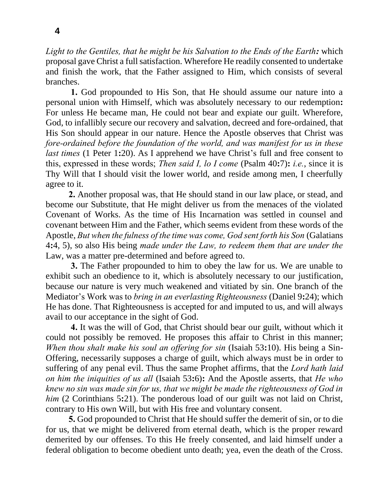*Light to the Gentiles, that he might be his Salvation to the Ends of the Earth:* which proposal gave Christ a full satisfaction. Wherefore He readily consented to undertake and finish the work, that the Father assigned to Him, which consists of several branches.

**1.** God propounded to His Son, that He should assume our nature into a personal union with Himself, which was absolutely necessary to our redemption**:** For unless He became man, He could not bear and expiate our guilt. Wherefore, God, to infallibly secure our recovery and salvation, decreed and fore-ordained, that His Son should appear in our nature. Hence the Apostle observes that Christ was *fore-ordained before the foundation of the world, and was manifest for us in these last times* (1 Peter 1:20). As I apprehend we have Christ's full and free consent to this, expressed in these words; *Then said I, lo I come* (Psalm 40**:**7)**:** *i.e.*, since it is Thy Will that I should visit the lower world, and reside among men, I cheerfully agree to it.

**2.** Another proposal was, that He should stand in our law place, or stead, and become our Substitute, that He might deliver us from the menaces of the violated Covenant of Works. As the time of His Incarnation was settled in counsel and covenant between Him and the Father, which seems evident from these words of the Apostle, *But when the fulness of the time was come, God sent forth his Son* (Galatians 4**:**4, 5), so also His being *made under the Law, to redeem them that are under the*  Law, was a matter pre-determined and before agreed to.

**3.** The Father propounded to him to obey the law for us. We are unable to exhibit such an obedience to it, which is absolutely necessary to our justification, because our nature is very much weakened and vitiated by sin. One branch of the Mediator's Work was to *bring in an everlasting Righteousness* (Daniel 9**:**24); which He has done. That Righteousness is accepted for and imputed to us, and will always avail to our acceptance in the sight of God.

**4.** It was the will of God, that Christ should bear our guilt, without which it could not possibly be removed. He proposes this affair to Christ in this manner; *When thou shalt make his soul an offering for sin* (Isaiah 53**:**10). His being a Sin-Offering, necessarily supposes a charge of guilt, which always must be in order to suffering of any penal evil. Thus the same Prophet affirms, that the *Lord hath laid on him the iniquities of us all* (Isaiah 53**:**6)**:** And the Apostle asserts, that *He who knew no sin was made sin for us, that we might be made the righteousness of God in him* (2 Corinthians 5**:**21). The ponderous load of our guilt was not laid on Christ, contrary to His own Will, but with His free and voluntary consent.

**5.** God propounded to Christ that He should suffer the demerit of sin, or to die for us, that we might be delivered from eternal death, which is the proper reward demerited by our offenses. To this He freely consented, and laid himself under a federal obligation to become obedient unto death; yea, even the death of the Cross.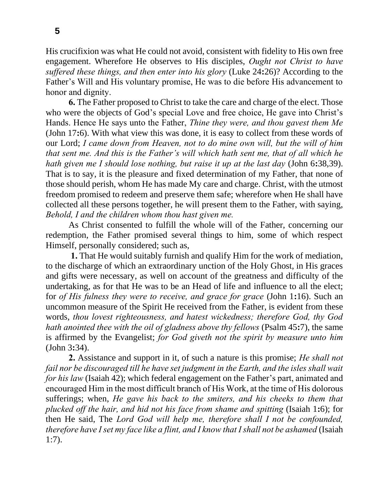**5**

His crucifixion was what He could not avoid, consistent with fidelity to His own free engagement. Wherefore He observes to His disciples, *Ought not Christ to have suffered these things, and then enter into his glory* (Luke 24**:**26)? According to the Father's Will and His voluntary promise, He was to die before His advancement to honor and dignity.

**6.** The Father proposed to Christ to take the care and charge of the elect. Those who were the objects of God's special Love and free choice, He gave into Christ's Hands. Hence He says unto the Father, *Thine they were, and thou gavest them Me*  (John 17**:**6). With what view this was done, it is easy to collect from these words of our Lord; *I came down from Heaven, not to do mine own will, but the will of him that sent me. And this is the Father's will which hath sent me, that of all which he hath given me I should lose nothing, but raise it up at the last day* (John 6**:**38,39). That is to say, it is the pleasure and fixed determination of my Father, that none of those should perish, whom He has made My care and charge. Christ, with the utmost freedom promised to redeem and preserve them safe; wherefore when He shall have collected all these persons together, he will present them to the Father, with saying, *Behold, I and the children whom thou hast given me.*

As Christ consented to fulfill the whole will of the Father, concerning our redemption, the Father promised several things to him, some of which respect Himself, personally considered; such as,

**1.** That He would suitably furnish and qualify Him for the work of mediation, to the discharge of which an extraordinary unction of the Holy Ghost, in His graces and gifts were necessary, as well on account of the greatness and difficulty of the undertaking, as for that He was to be an Head of life and influence to all the elect; for *of His fulness they were to receive, and grace for grace* (John 1**:**16). Such an uncommon measure of the Spirit He received from the Father, is evident from these words, *thou lovest righteousness, and hatest wickedness; therefore God, thy God hath anointed thee with the oil of gladness above thy fellows* (Psalm 45**:**7), the same is affirmed by the Evangelist; *for God giveth not the spirit by measure unto him* (John 3**:**34).

**2.** Assistance and support in it, of such a nature is this promise; *He shall not fail nor be discouraged till he have set judgment in the Earth, and the isles shall wait for his law* (Isaiah 42); which federal engagement on the Father's part, animated and encouraged Him in the most difficult branch of His Work, at the time of His dolorous sufferings; when, *He gave his back to the smiters, and his cheeks to them that plucked off the hair, and hid not his face from shame and spitting* (Isaiah 1**:**6); for then He said, The *Lord God will help me, therefore shall I not be confounded, therefore have I set my face like a flint, and I know that I shall not be ashamed* (Isaiah 1:7).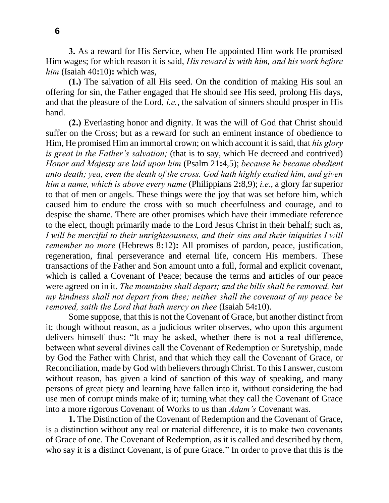**3.** As a reward for His Service, when He appointed Him work He promised Him wages; for which reason it is said, *His reward is with him, and his work before him* (Isaiah 40**:**10)**:** which was,

**(1.)** The salvation of all His seed. On the condition of making His soul an offering for sin, the Father engaged that He should see His seed, prolong His days, and that the pleasure of the Lord, *i.e.*, the salvation of sinners should prosper in His hand.

**(2.)** Everlasting honor and dignity. It was the will of God that Christ should suffer on the Cross; but as a reward for such an eminent instance of obedience to Him, He promised Him an immortal crown; on which account it is said, that *his glory is great in the Father's salvation;* (that is to say, which He decreed and contrived) *Honor and Majesty are laid upon him* (Psalm 21**:**4,5); *because he became obedient unto death; yea, even the death of the cross. God hath highly exalted him, and given him a name, which is above every name* (Philippians 2**:**8,9); *i.e.*, a glory far superior to that of men or angels. These things were the joy that was set before him, which caused him to endure the cross with so much cheerfulness and courage, and to despise the shame. There are other promises which have their immediate reference to the elect, though primarily made to the Lord Jesus Christ in their behalf; such as, *I will be merciful to their unrighteousness, and their sins and their iniquities I will remember no more* (Hebrews 8**:**12)**:** All promises of pardon, peace, justification, regeneration, final perseverance and eternal life, concern His members. These transactions of the Father and Son amount unto a full, formal and explicit covenant, which is called a Covenant of Peace; because the terms and articles of our peace were agreed on in it. *The mountains shall depart; and the bills shall be removed, but my kindness shall not depart from thee; neither shall the covenant of my peace be removed, saith the Lord that hath mercy on thee* (Isaiah 54**:**10).

Some suppose, that this is not the Covenant of Grace, but another distinct from it; though without reason, as a judicious writer observes, who upon this argument delivers himself thus**:** "It may be asked, whether there is not a real difference, between what several divines call the Covenant of Redemption or Suretyship, made by God the Father with Christ, and that which they call the Covenant of Grace, or Reconciliation, made by God with believers through Christ. To this I answer, custom without reason, has given a kind of sanction of this way of speaking, and many persons of great piety and learning have fallen into it, without considering the bad use men of corrupt minds make of it; turning what they call the Covenant of Grace into a more rigorous Covenant of Works to us than *Adam's* Covenant was.

**1.** The Distinction of the Covenant of Redemption and the Covenant of Grace, is a distinction without any real or material difference, it is to make two covenants of Grace of one. The Covenant of Redemption, as it is called and described by them, who say it is a distinct Covenant, is of pure Grace." In order to prove that this is the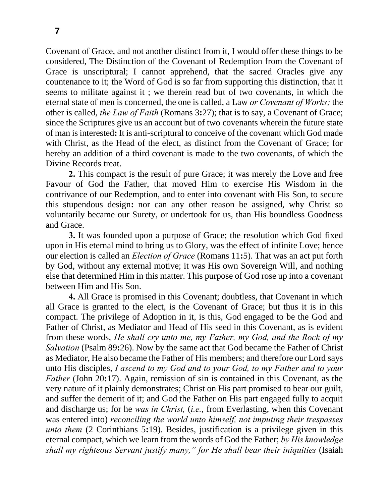Covenant of Grace, and not another distinct from it, I would offer these things to be considered, The Distinction of the Covenant of Redemption from the Covenant of Grace is unscriptural; I cannot apprehend, that the sacred Oracles give any countenance to it; the Word of God is so far from supporting this distinction, that it seems to militate against it ; we therein read but of two covenants, in which the eternal state of men is concerned, the one is called, a Law *or Covenant of Works;* the other is called, *the Law of Faith* (Romans 3**:**27); that is to say, a Covenant of Grace; since the Scriptures give us an account but of two covenants wherein the future state of man is interested**:** It is anti-scriptural to conceive of the covenant which God made with Christ, as the Head of the elect, as distinct from the Covenant of Grace; for hereby an addition of a third covenant is made to the two covenants, of which the Divine Records treat.

**2.** This compact is the result of pure Grace; it was merely the Love and free Favour of God the Father, that moved Him to exercise His Wisdom in the contrivance of our Redemption, and to enter into covenant with His Son, to secure this stupendous design**:** nor can any other reason be assigned, why Christ so voluntarily became our Surety, or undertook for us, than His boundless Goodness and Grace.

**3.** It was founded upon a purpose of Grace; the resolution which God fixed upon in His eternal mind to bring us to Glory, was the effect of infinite Love; hence our election is called an *Election of Grace* (Romans 11**:**5). That was an act put forth by God, without any external motive; it was His own Sovereign Will, and nothing else that determined Him in this matter. This purpose of God rose up into a covenant between Him and His Son.

**4.** All Grace is promised in this Covenant; doubtless, that Covenant in which all Grace is granted to the elect, is the Covenant of Grace; but thus it is in this compact. The privilege of Adoption in it, is this, God engaged to be the God and Father of Christ, as Mediator and Head of His seed in this Covenant, as is evident from these words, *He shall cry unto me, my Father, my God, and the Rock of my Salvation* (Psalm 89**:**26). Now by the same act that God became the Father of Christ as Mediator, He also became the Father of His members; and therefore our Lord says unto His disciples, *I ascend to my God and to your God, to my Father and to your Father* (John 20:17). Again, remission of sin is contained in this Covenant, as the very nature of it plainly demonstrates; Christ on His part promised to bear our guilt, and suffer the demerit of it; and God the Father on His part engaged fully to acquit and discharge us; for he *was in Christ,* (*i.e.*, from Everlasting, when this Covenant was entered into) *reconciling the world unto himself, not imputing their trespasses unto them* (2 Corinthians 5**:**19). Besides, justification is a privilege given in this eternal compact, which we learn from the words of God the Father; *by His knowledge shall my righteous Servant justify many," for He shall bear their iniquities* (Isaiah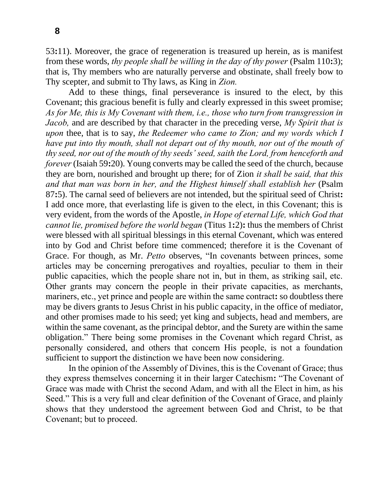53**:**11). Moreover, the grace of regeneration is treasured up herein, as is manifest from these words, *thy people shall be willing in the day of thy power* (Psalm 110**:**3); that is, Thy members who are naturally perverse and obstinate, shall freely bow to Thy scepter, and submit to Thy laws, as King in *Zion.*

Add to these things, final perseverance is insured to the elect, by this Covenant; this gracious benefit is fully and clearly expressed in this sweet promise; *As for Me, this is My Covenant with them, i.e., those who turn from transgression in Jacob,* and are described by that character in the preceding verse, *My Spirit that is upon* thee, that is to say, *the Redeemer who came to Zion; and my words which I have put into thy mouth, shall not depart out of thy mouth, nor out of the mouth of thy seed, nor out of the mouth of thy seeds' seed, saith the Lord, from henceforth and forever* (Isaiah 59**:**20). Young converts may be called the seed of the church, because they are born, nourished and brought up there; for of Zion *it shall be said, that this and that man was born in her, and the Highest himself shall establish her* (Psalm 87**:**5). The carnal seed of believers are not intended, but the spiritual seed of Christ**:** I add once more, that everlasting life is given to the elect, in this Covenant; this is very evident, from the words of the Apostle, *in Hope of eternal Life, which God that cannot lie, promised before the world began* (Titus 1**:**2)**:** thus the members of Christ were blessed with all spiritual blessings in this eternal Covenant, which was entered into by God and Christ before time commenced; therefore it is the Covenant of Grace. For though, as Mr. *Petto* observes, "In covenants between princes, some articles may be concerning prerogatives and royalties, peculiar to them in their public capacities, which the people share not in, but in them, as striking sail, etc. Other grants may concern the people in their private capacities, as merchants, mariners, etc., yet prince and people are within the same contract**:** so doubtless there may be divers grants to Jesus Christ in his public capacity, in the office of mediator, and other promises made to his seed; yet king and subjects, head and members, are within the same covenant, as the principal debtor, and the Surety are within the same obligation." There being some promises in the Covenant which regard Christ, as personally considered, and others that concern His people, is not a foundation sufficient to support the distinction we have been now considering.

In the opinion of the Assembly of Divines, this is the Covenant of Grace; thus they express themselves concerning it in their larger Catechism**:** "The Covenant of Grace was made with Christ the second Adam, and with all the Elect in him, as his Seed." This is a very full and clear definition of the Covenant of Grace, and plainly shows that they understood the agreement between God and Christ, to be that Covenant; but to proceed.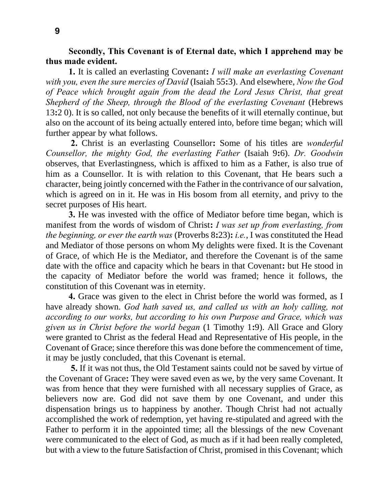**Secondly, This Covenant is of Eternal date, which I apprehend may be thus made evident.**

**1.** It is called an everlasting Covenant**:** *I will make an everlasting Covenant with you, even the sure mercies of David* (Isaiah 55**:**3). And elsewhere, *Now the God of Peace which brought again from the dead the Lord Jesus Christ, that great Shepherd of the Sheep, through the Blood of the everlasting Covenant* (Hebrews 13**:**2 0). It is so called, not only because the benefits of it will eternally continue, but also on the account of its being actually entered into, before time began; which will further appear by what follows.

**2.** Christ is an everlasting Counsellor**:** Some of his titles are *wonderful Counsellor, the mighty God, the everlasting Father* (Isaiah 9**:**6). *Dr. Goodwin*  observes, that Everlastingness, which is affixed to him as a Father, is also true of him as a Counsellor. It is with relation to this Covenant, that He bears such a character, being jointly concerned with the Father in the contrivance of our salvation, which is agreed on in it. He was in His bosom from all eternity, and privy to the secret purposes of His heart.

**3.** He was invested with the office of Mediator before time began, which is manifest from the words of wisdom of Christ**:** *I was set up from everlasting, from the beginning, or ever the earth was* (Proverbs 8**:**23)**:** *i.e.*, I was constituted the Head and Mediator of those persons on whom My delights were fixed. It is the Covenant of Grace, of which He is the Mediator, and therefore the Covenant is of the same date with the office and capacity which he bears in that Covenant**:** but He stood in the capacity of Mediator before the world was framed; hence it follows, the constitution of this Covenant was in eternity.

**4.** Grace was given to the elect in Christ before the world was formed, as I have already shown. *God hath saved us, and called us with an holy calling, not according to our works, but according to his own Purpose and Grace, which was given us in Christ before the world began* (1 Timothy 1**:**9). All Grace and Glory were granted to Christ as the federal Head and Representative of His people, in the Covenant of Grace; since therefore this was done before the commencement of time, it may be justly concluded, that this Covenant is eternal.

**5.** If it was not thus, the Old Testament saints could not be saved by virtue of the Covenant of Grace**:** They were saved even as we, by the very same Covenant. It was from hence that they were furnished with all necessary supplies of Grace, as believers now are. God did not save them by one Covenant, and under this dispensation brings us to happiness by another. Though Christ had not actually accomplished the work of redemption, yet having re-stipulated and agreed with the Father to perform it in the appointed time; all the blessings of the new Covenant were communicated to the elect of God, as much as if it had been really completed, but with a view to the future Satisfaction of Christ, promised in this Covenant; which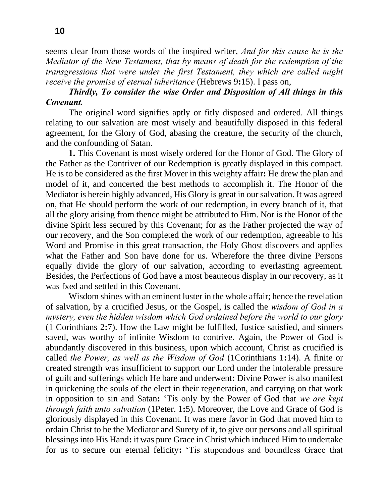seems clear from those words of the inspired writer, *And for this cause he is the Mediator of the New Testament, that by means of death for the redemption of the transgressions that were under the first Testament, they which are called might receive the promise of eternal inheritance* (Hebrews 9**:**15). I pass on,

## *Thirdly, To consider the wise Order and Disposition of All things in this Covenant.*

The original word signifies aptly or fitly disposed and ordered. All things relating to our salvation are most wisely and beautifully disposed in this federal agreement, for the Glory of God, abasing the creature, the security of the church, and the confounding of Satan.

**1.** This Covenant is most wisely ordered for the Honor of God. The Glory of the Father as the Contriver of our Redemption is greatly displayed in this compact. He is to be considered as the first Mover in this weighty affair**:** He drew the plan and model of it, and concerted the best methods to accomplish it. The Honor of the Mediator is herein highly advanced, His Glory is great in our salvation. It was agreed on, that He should perform the work of our redemption, in every branch of it, that all the glory arising from thence might be attributed to Him. Nor is the Honor of the divine Spirit less secured by this Covenant; for as the Father projected the way of our recovery, and the Son completed the work of our redemption, agreeable to his Word and Promise in this great transaction, the Holy Ghost discovers and applies what the Father and Son have done for us. Wherefore the three divine Persons equally divide the glory of our salvation, according to everlasting agreement. Besides, the Perfections of God have a most beauteous display in our recovery, as it was fxed and settled in this Covenant.

Wisdom shines with an eminent luster in the whole affair; hence the revelation of salvation, by a crucified Jesus, or the Gospel, is called the *wisdom of God in a mystery, even the hidden wisdom which God ordained before the world to our glory* (1 Corinthians 2**:**7). How the Law might be fulfilled, Justice satisfied, and sinners saved, was worthy of infinite Wisdom to contrive. Again, the Power of God is abundantly discovered in this business, upon which account, Christ as crucified is called *the Power, as well as the Wisdom of God* (1Corinthians 1**:**14). A finite or created strength was insufficient to support our Lord under the intolerable pressure of guilt and sufferings which He bare and underwent**:** Divine Power is also manifest in quickening the souls of the elect in their regeneration, and carrying on that work in opposition to sin and Satan**:** 'Tis only by the Power of God that *we are kept through faith unto salvation* (1Peter. 1**:**5). Moreover, the Love and Grace of God is gloriously displayed in this Covenant. It was mere favor in God that moved him to ordain Christ to be the Mediator and Surety of it, to give our persons and all spiritual blessings into His Hand**:** it was pure Grace in Christ which induced Him to undertake for us to secure our eternal felicity**:** 'Tis stupendous and boundless Grace that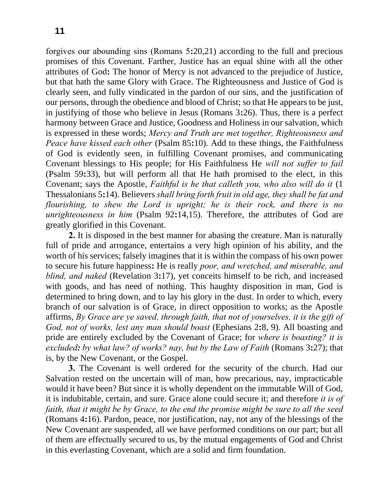forgives our abounding sins (Romans 5**:**20,21) according to the full and precious promises of this Covenant. Farther, Justice has an equal shine with all the other attributes of God**:** The honor of Mercy is not advanced to the prejudice of Justice, but that hath the same Glory with Grace. The Righteousness and Justice of God is clearly seen, and fully vindicated in the pardon of our sins, and the justification of our persons, through the obedience and blood of Christ; so that He appears to be just, in justifying of those who believe in Jesus (Romans 3**:**26). Thus, there is a perfect harmony between Grace and Justice, Goodness and Holiness in our salvation, which is expressed in these words; *Mercy and Truth are met together, Righteousness and Peace have kissed each other* (Psalm 85:10). Add to these things, the Faithfulness of God is evidently seen, in fulfilling Covenant promises, and communicating Covenant blessings to His people; for His Faithfulness He *will not suffer to fail*  (Psalm 59**:**33), but will perform all that He hath promised to the elect, in this Covenant; says the Apostle, *Faithful is he that calleth you, who also will do it* (1 Thessalonians 5**:**14). Believers *shall bring forth fruit in old age, they shall be fat and flourishing, to shew the Lord is upright; he is their rock, and there is no unrighteousness in him* (Psalm 92**:**14,15). Therefore, the attributes of God are greatly glorified in this Covenant.

**2.** It is disposed in the best manner for abasing the creature. Man is naturally full of pride and arrogance, entertains a very high opinion of his ability, and the worth of his services; falsely imagines that it is within the compass of his own power to secure his future happiness**:** He is really *poor, and wretched, and miserable, and blind, and naked* (Revelation 3**:**17), yet conceits himself to be rich, and increased with goods, and has need of nothing. This haughty disposition in man, God is determined to bring down, and to lay his glory in the dust. In order to which, every branch of our salvation is of Grace, in direct opposition to works; as the Apostle affirms, *By Grace are ye saved, through faith, that not of yourselves, it is the gift of God, not of works, lest any man should boast* (Ephesians 2**:**8, 9). All boasting and pride are entirely excluded by the Covenant of Grace; for *where is boasting? it is excluded: by what law? of works? nay, but by the Law of Faith* (Romans 3**:**27); that is, by the New Covenant, or the Gospel.

**3.** The Covenant is well ordered for the security of the church. Had our Salvation rested on the uncertain will of man, how precarious, nay, impracticable would it have been? But since it is wholly dependent on the immutable Will of God, it is indubitable, certain, and sure. Grace alone could secure it; and therefore *it is of faith, that it might be by Grace, to the end the promise might be sure to all the seed*  (Romans 4**:**16). Pardon, peace, nor justification, nay, not any of the blessings of the New Covenant are suspended, all we have performed conditions on our part; but all of them are effectually secured to us, by the mutual engagements of God and Christ in this everlasting Covenant, which are a solid and firm foundation.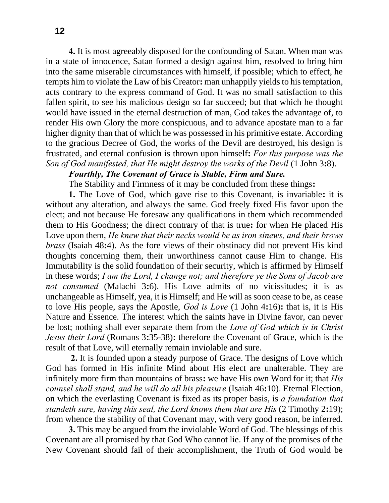**4.** It is most agreeably disposed for the confounding of Satan. When man was in a state of innocence, Satan formed a design against him, resolved to bring him into the same miserable circumstances with himself, if possible; which to effect, he tempts him to violate the Law of his Creator**:** man unhappily yields to his temptation, acts contrary to the express command of God. It was no small satisfaction to this fallen spirit, to see his malicious design so far succeed; but that which he thought would have issued in the eternal destruction of man, God takes the advantage of, to render His own Glory the more conspicuous, and to advance apostate man to a far higher dignity than that of which he was possessed in his primitive estate. According to the gracious Decree of God, the works of the Devil are destroyed, his design is frustrated, and eternal confusion is thrown upon himself**:** *For this purpose was the Son of God manifested, that He might destroy the works of the Devil* (1 John 3:8).

### *Fourthly, The Covenant of Grace is Stable, Firm and Sure.*

The Stability and Firmness of it may be concluded from these things**:** 

**1.** The Love of God, which gave rise to this Covenant, is invariable**:** it is without any alteration, and always the same. God freely fixed His favor upon the elect; and not because He foresaw any qualifications in them which recommended them to His Goodness; the direct contrary of that is true**:** for when He placed His Love upon them, *He knew that their necks would be as iron sinews, and their brows brass* (Isaiah 48**:**4). As the fore views of their obstinacy did not prevent His kind thoughts concerning them, their unworthiness cannot cause Him to change. His Immutability is the solid foundation of their security, which is affirmed by Himself in these words; *I am the Lord, I change not; and therefore ye the Sons of Jacob are not consumed* (Malachi 3**:**6). His Love admits of no vicissitudes; it is as unchangeable as Himself, yea, it is Himself; and He will as soon cease to be, as cease to love His people, says the Apostle, *God is Love* (1 John 4**:**16)**:** that is, it is His Nature and Essence. The interest which the saints have in Divine favor, can never be lost; nothing shall ever separate them from the *Love of God which is in Christ Jesus their Lord* (Romans 3**:**35-38)**:** therefore the Covenant of Grace, which is the result of that Love, will eternally remain inviolable and sure.

**2.** It is founded upon a steady purpose of Grace. The designs of Love which God has formed in His infinite Mind about His elect are unalterable. They are infinitely more firm than mountains of brass**:** we have His own Word for it; that *His counsel shall stand, and he will do all his pleasure* (Isaiah 46**:**10). Eternal Election, on which the everlasting Covenant is fixed as its proper basis, is *a foundation that standeth sure, having this seal, the Lord knows them that are His* (2 Timothy 2**:**19); from whence the stability of that Covenant may, with very good reason, be inferred.

**3.** This may be argued from the inviolable Word of God. The blessings of this Covenant are all promised by that God Who cannot lie. If any of the promises of the New Covenant should fail of their accomplishment, the Truth of God would be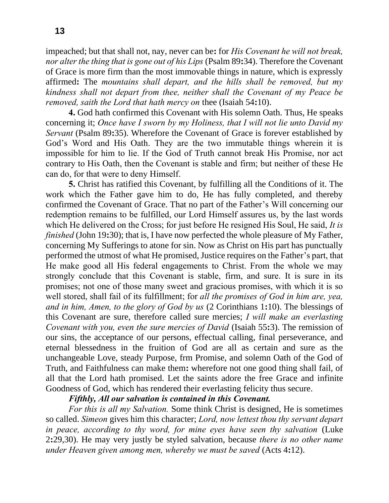impeached; but that shall not, nay, never can be**:** for *His Covenant he will not break, nor alter the thing that is gone out of his Lips* (Psalm 89**:**34). Therefore the Covenant of Grace is more firm than the most immovable things in nature, which is expressly affirmed**:** The *mountains shall depart, and the hills shall be removed, but my kindness shall not depart from thee, neither shall the Covenant of my Peace be removed, saith the Lord that hath mercy on* thee (Isaiah 54**:**10).

**4.** God hath confirmed this Covenant with His solemn Oath. Thus, He speaks concerning it; *Once have I sworn by my Holiness, that I will not lie unto David my Servant* (Psalm 89:35). Wherefore the Covenant of Grace is forever established by God's Word and His Oath. They are the two immutable things wherein it is impossible for him to lie. If the God of Truth cannot break His Promise, nor act contrary to His Oath, then the Covenant is stable and firm; but neither of these He can do, for that were to deny Himself.

**5.** Christ has ratified this Covenant, by fulfilling all the Conditions of it. The work which the Father gave him to do, He has fully completed, and thereby confirmed the Covenant of Grace. That no part of the Father's Will concerning our redemption remains to be fulfilled, our Lord Himself assures us, by the last words which He delivered on the Cross; for just before He resigned His Soul, He said, *It is finished* (John 19**:**30); that is, I have now perfected the whole pleasure of My Father, concerning My Sufferings to atone for sin. Now as Christ on His part has punctually performed the utmost of what He promised, Justice requires on the Father's part, that He make good all His federal engagements to Christ. From the whole we may strongly conclude that this Covenant is stable, firm, and sure. It is sure in its promises; not one of those many sweet and gracious promises, with which it is so well stored, shall fail of its fulfillment; for *all the promises of God in him are, yea, and in him, Amen, to the glory of God by us* (2 Corinthians 1**:**10). The blessings of this Covenant are sure, therefore called sure mercies; *I will make an everlasting Covenant with you, even the sure mercies of David* (Isaiah 55**:**3). The remission of our sins, the acceptance of our persons, effectual calling, final perseverance, and eternal blessedness in the fruition of God are all as certain and sure as the unchangeable Love, steady Purpose, frm Promise, and solemn Oath of the God of Truth, and Faithfulness can make them**:** wherefore not one good thing shall fail, of all that the Lord hath promised. Let the saints adore the free Grace and infinite Goodness of God, which has rendered their everlasting felicity thus secure.

#### *Fifthly, All our salvation is contained in this Covenant.*

*For this is all my Salvation.* Some think Christ is designed, He is sometimes so called. *Simeon* gives him this character; *Lord, now lettest thou thy servant depart in peace, according to thy word, for mine eyes have seen thy salvation* (Luke 2**:**29,30). He may very justly be styled salvation, because *there is no other name under Heaven given among men, whereby we must be saved* (Acts 4**:**12).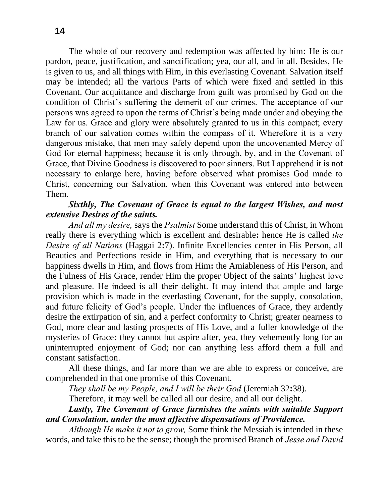The whole of our recovery and redemption was affected by him**:** He is our pardon, peace, justification, and sanctification; yea, our all, and in all. Besides, He is given to us, and all things with Him, in this everlasting Covenant. Salvation itself may be intended; all the various Parts of which were fixed and settled in this Covenant. Our acquittance and discharge from guilt was promised by God on the condition of Christ's suffering the demerit of our crimes. The acceptance of our persons was agreed to upon the terms of Christ's being made under and obeying the Law for us. Grace and glory were absolutely granted to us in this compact; every branch of our salvation comes within the compass of it. Wherefore it is a very dangerous mistake, that men may safely depend upon the uncovenanted Mercy of God for eternal happiness; because it is only through, by, and in the Covenant of Grace, that Divine Goodness is discovered to poor sinners. But I apprehend it is not necessary to enlarge here, having before observed what promises God made to Christ, concerning our Salvation, when this Covenant was entered into between Them.

## *Sixthly, The Covenant of Grace is equal to the largest Wishes, and most extensive Desires of the saints.*

*And all my desire,* says the *Psalmist* Some understand this of Christ, in Whom really there is everything which is excellent and desirable**:** hence He is called *the Desire of all Nations* (Haggai 2**:**7). Infinite Excellencies center in His Person, all Beauties and Perfections reside in Him, and everything that is necessary to our happiness dwells in Him, and flows from Him**:** the Amiableness of His Person, and the Fulness of His Grace, render Him the proper Object of the saints' highest love and pleasure. He indeed is all their delight. It may intend that ample and large provision which is made in the everlasting Covenant, for the supply, consolation, and future felicity of God's people. Under the influences of Grace, they ardently desire the extirpation of sin, and a perfect conformity to Christ; greater nearness to God, more clear and lasting prospects of His Love, and a fuller knowledge of the mysteries of Grace**:** they cannot but aspire after, yea, they vehemently long for an uninterrupted enjoyment of God; nor can anything less afford them a full and constant satisfaction.

All these things, and far more than we are able to express or conceive, are comprehended in that one promise of this Covenant.

*They shall be my People, and I will be their God* (Jeremiah 32**:**38).

Therefore, it may well be called all our desire, and all our delight.

*Lastly, The Covenant of Grace furnishes the saints with suitable Support and Consolation, under the most affective dispensations of Providence.*

*Although He make it not to grow,* Some think the Messiah is intended in these words, and take this to be the sense; though the promised Branch of *Jesse and David*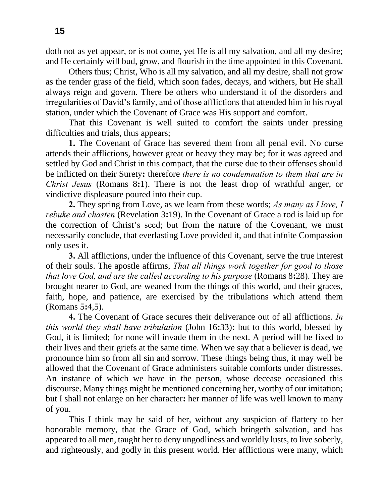doth not as yet appear, or is not come, yet He is all my salvation, and all my desire; and He certainly will bud, grow, and flourish in the time appointed in this Covenant.

Others thus; Christ, Who is all my salvation, and all my desire, shall not grow as the tender grass of the field, which soon fades, decays, and withers, but He shall always reign and govern. There be others who understand it of the disorders and irregularities of David's family, and of those afflictions that attended him in his royal station, under which the Covenant of Grace was His support and comfort.

That this Covenant is well suited to comfort the saints under pressing difficulties and trials, thus appears;

**1.** The Covenant of Grace has severed them from all penal evil. No curse attends their afflictions, however great or heavy they may be; for it was agreed and settled by God and Christ in this compact, that the curse due to their offenses should be inflicted on their Surety**:** therefore *there is no condemnation to them that are in Christ Jesus* (Romans 8**:**1). There is not the least drop of wrathful anger, or vindictive displeasure poured into their cup.

**2.** They spring from Love, as we learn from these words; *As many as I love, I rebuke and chasten* (Revelation 3**:**19). In the Covenant of Grace a rod is laid up for the correction of Christ's seed; but from the nature of the Covenant, we must necessarily conclude, that everlasting Love provided it, and that infnite Compassion only uses it.

**3.** All afflictions, under the influence of this Covenant, serve the true interest of their souls. The apostle affirms, *That all things work together for good to those that love God, and are the called according to his purpose* (Romans 8**:**28). They are brought nearer to God, are weaned from the things of this world, and their graces, faith, hope, and patience, are exercised by the tribulations which attend them (Romans 5**:**4,5).

**4.** The Covenant of Grace secures their deliverance out of all afflictions. *In this world they shall have tribulation* (John 16**:**33)**:** but to this world, blessed by God, it is limited; for none will invade them in the next. A period will be fixed to their lives and their griefs at the same time. When we say that a believer is dead, we pronounce him so from all sin and sorrow. These things being thus, it may well be allowed that the Covenant of Grace administers suitable comforts under distresses. An instance of which we have in the person, whose decease occasioned this discourse. Many things might be mentioned concerning her, worthy of our imitation; but I shall not enlarge on her character**:** her manner of life was well known to many of you.

This I think may be said of her, without any suspicion of flattery to her honorable memory, that the Grace of God, which bringeth salvation, and has appeared to all men, taught her to deny ungodliness and worldly lusts, to live soberly, and righteously, and godly in this present world. Her afflictions were many, which